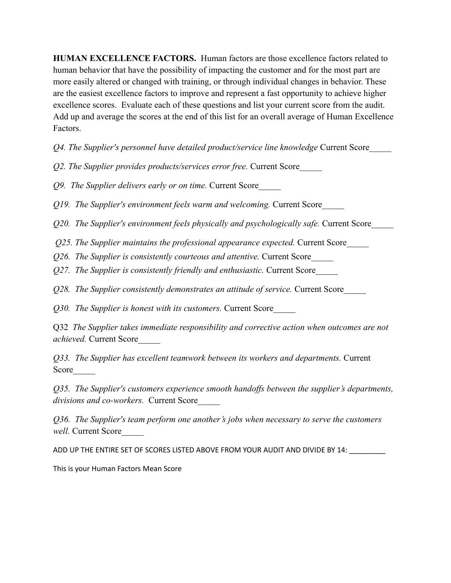**HUMAN EXCELLENCE FACTORS.** Human factors are those excellence factors related to human behavior that have the possibility of impacting the customer and for the most part are more easily altered or changed with training, or through individual changes in behavior. These are the easiest excellence factors to improve and represent a fast opportunity to achieve higher excellence scores. Evaluate each of these questions and list your current score from the audit. Add up and average the scores at the end of this list for an overall average of Human Excellence Factors.

*Q4. The Supplier's personnel have detailed product/service line knowledge* Current Score\_\_\_\_\_

*Q2. The Supplier provides products/services error free.* Current Score\_\_\_\_\_

*Q9. The Supplier delivers early or on time.* Current Score\_\_\_\_\_

*Q19. The Supplier's environment feels warm and welcoming.* Current Score\_\_\_\_\_

*Q20. The Supplier's environment feels physically and psychologically safe.* Current Score\_\_\_\_\_

*Q25. The Supplier maintains the professional appearance expected.* Current Score\_\_\_\_\_

*Q26. The Supplier is consistently courteous and attentive.* Current Score\_\_\_\_\_

*Q27. The Supplier is consistently friendly and enthusiastic.* Current Score\_\_\_\_\_

*Q28. The Supplier consistently demonstrates an attitude of service.* Current Score\_\_\_\_\_

*Q30. The Supplier is honest with its customers.* Current Score\_\_\_\_\_

Q32 *The Supplier takes immediate responsibility and corrective action when outcomes are not achieved.* Current Score\_\_\_\_\_

*Q33. The Supplier has excellent teamwork between its workers and departments.* Current Score

*Q35. The Supplier's customers experience smooth handoffs between the supplier's departments, divisions and co-workers.* Current Score\_\_\_\_\_

*Q36. The Supplier's team perform one another's jobs when necessary to serve the customers*  well. Current Score

ADD UP THE ENTIRE SET OF SCORES LISTED ABOVE FROM YOUR AUDIT AND DIVIDE BY 14: \_\_\_\_\_\_\_

This is your Human Factors Mean Score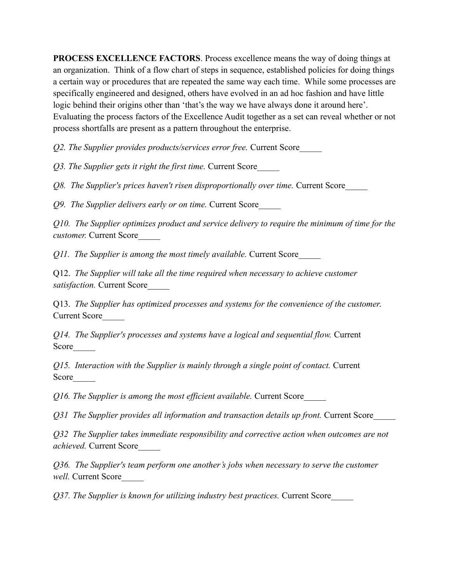**PROCESS EXCELLENCE FACTORS**. Process excellence means the way of doing things at an organization. Think of a flow chart of steps in sequence, established policies for doing things a certain way or procedures that are repeated the same way each time. While some processes are specifically engineered and designed, others have evolved in an ad hoc fashion and have little logic behind their origins other than 'that's the way we have always done it around here'. Evaluating the process factors of the Excellence Audit together as a set can reveal whether or not process shortfalls are present as a pattern throughout the enterprise.

*Q2. The Supplier provides products/services error free.* Current Score\_\_\_\_\_

*Q3. The Supplier gets it right the first time.* Current Score\_\_\_\_\_

*Q8. The Supplier's prices haven't risen disproportionally over time.* Current Score\_\_\_\_\_

*Q9. The Supplier delivers early or on time.* Current Score\_\_\_\_\_

*Q10. The Supplier optimizes product and service delivery to require the minimum of time for the customer.* Current Score\_\_\_\_\_

*Q11. The Supplier is among the most timely available.* Current Score\_\_\_\_\_

Q12. *The Supplier will take all the time required when necessary to achieve customer satisfaction.* Current Score\_\_\_\_\_

Q13. *The Supplier has optimized processes and systems for the convenience of the customer*. Current Score\_\_\_\_\_

*Q14. The Supplier's processes and systems have a logical and sequential flow.* Current Score

*Q15. Interaction with the Supplier is mainly through a single point of contact.* Current Score

*Q16. The Supplier is among the most efficient available.* Current Score\_\_\_\_\_

*Q31 The Supplier provides all information and transaction details up front.* Current Score\_\_\_\_\_

*Q32 The Supplier takes immediate responsibility and corrective action when outcomes are not achieved.* Current Score\_\_\_\_\_

*Q36. The Supplier's team perform one another's jobs when necessary to serve the customer well.* Current Score\_\_\_\_\_

*Q37. The Supplier is known for utilizing industry best practices.* Current Score\_\_\_\_\_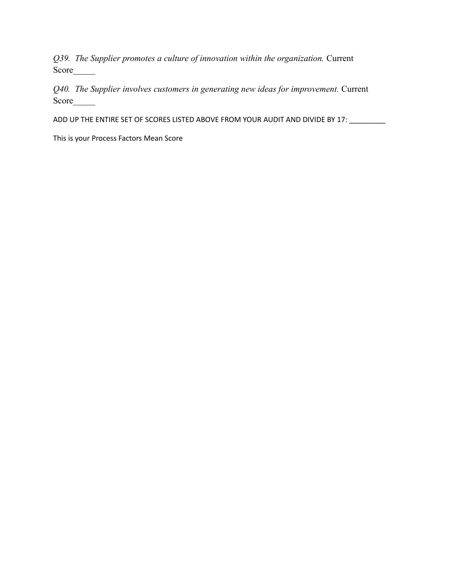*Q39. The Supplier promotes a culture of innovation within the organization.* Current Score\_\_\_\_\_

*Q40. The Supplier involves customers in generating new ideas for improvement.* Current Score\_\_\_\_\_

ADD UP THE ENTIRE SET OF SCORES LISTED ABOVE FROM YOUR AUDIT AND DIVIDE BY 17: \_\_\_\_\_\_\_\_

This is your Process Factors Mean Score